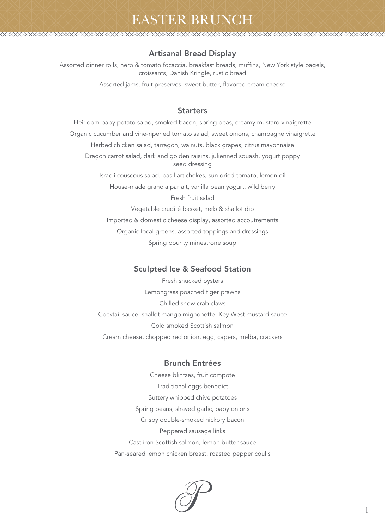# EASTER BRUNCH

### Artisanal Bread Display

Assorted dinner rolls, herb & tomato focaccia, breakfast breads, muffins, New York style bagels, croissants, Danish Kringle, rustic bread

Assorted jams, fruit preserves, sweet butter, flavored cream cheese

### **Starters**

Heirloom baby potato salad, smoked bacon, spring peas, creamy mustard vinaigrette Organic cucumber and vine-ripened tomato salad, sweet onions, champagne vinaigrette Herbed chicken salad, tarragon, walnuts, black grapes, citrus mayonnaise Dragon carrot salad, dark and golden raisins, julienned squash, yogurt poppy seed dressing Israeli couscous salad, basil artichokes, sun dried tomato, lemon oil House-made granola parfait, vanilla bean yogurt, wild berry Fresh fruit salad Vegetable crudité basket, herb & shallot dip Imported & domestic cheese display, assorted accoutrements Organic local greens, assorted toppings and dressings Spring bounty minestrone soup

### Sculpted Ice & Seafood Station

Fresh shucked oysters Lemongrass poached tiger prawns Chilled snow crab claws Cocktail sauce, shallot mango mignonette, Key West mustard sauce Cold smoked Scottish salmon Cream cheese, chopped red onion, egg, capers, melba, crackers

#### Brunch Entrées

Cheese blintzes, fruit compote Traditional eggs benedict Buttery whipped chive potatoes Spring beans, shaved garlic, baby onions Crispy double-smoked hickory bacon Peppered sausage links Cast iron Scottish salmon, lemon butter sauce Pan-seared lemon chicken breast, roasted pepper coulis